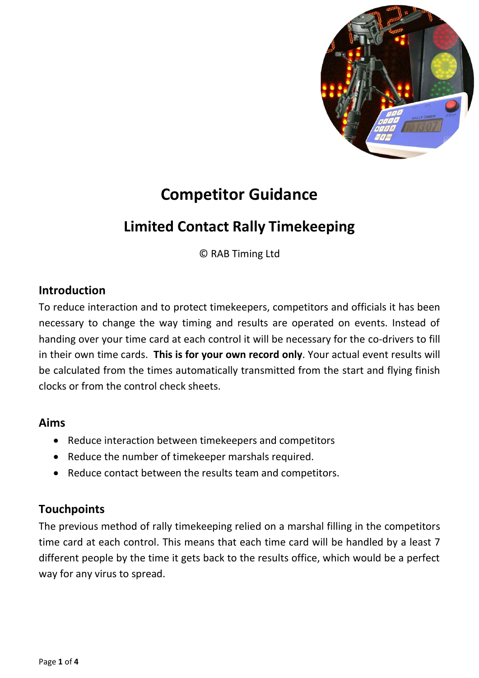

# **Competitor Guidance**

# **Limited Contact Rally Timekeeping**

© RAB Timing Ltd

#### **Introduction**

To reduce interaction and to protect timekeepers, competitors and officials it has been necessary to change the way timing and results are operated on events. Instead of handing over your time card at each control it will be necessary for the co-drivers to fill in their own time cards. **This is for your own record only**. Your actual event results will be calculated from the times automatically transmitted from the start and flying finish clocks or from the control check sheets.

#### **Aims**

- Reduce interaction between timekeepers and competitors
- Reduce the number of timekeeper marshals required.
- Reduce contact between the results team and competitors.

### **Touchpoints**

The previous method of rally timekeeping relied on a marshal filling in the competitors time card at each control. This means that each time card will be handled by a least 7 different people by the time it gets back to the results office, which would be a perfect way for any virus to spread.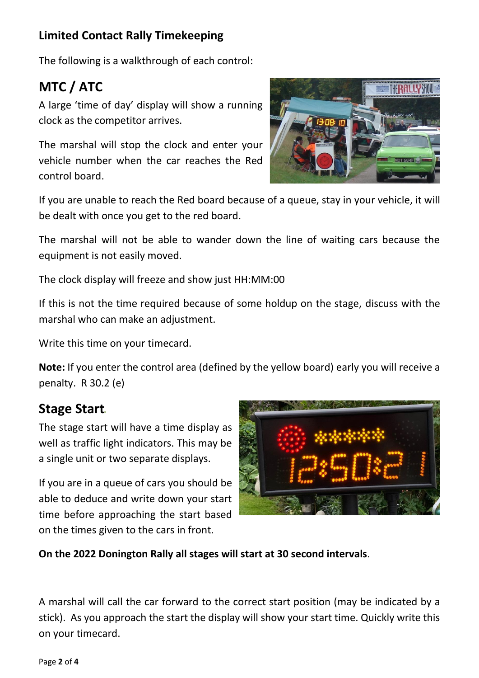## **Limited Contact Rally Timekeeping**

The following is a walkthrough of each control:

# **MTC / ATC**

A large 'time of day' display will show a running clock as the competitor arrives.

The marshal will stop the clock and enter your vehicle number when the car reaches the Red control board.



If you are unable to reach the Red board because of a queue, stay in your vehicle, it will be dealt with once you get to the red board.

The marshal will not be able to wander down the line of waiting cars because the equipment is not easily moved.

The clock display will freeze and show just HH:MM:00

If this is not the time required because of some holdup on the stage, discuss with the marshal who can make an adjustment.

Write this time on your timecard.

**Note:** If you enter the control area (defined by the yellow board) early you will receive a penalty. R 30.2 (e)

## **Stage Start**

The stage start will have a time display as well as traffic light indicators. This may be a single unit or two separate displays.

If you are in a queue of cars you should be able to deduce and write down your start time before approaching the start based on the times given to the cars in front.



**On the 2022 Donington Rally all stages will start at 30 second intervals**.

A marshal will call the car forward to the correct start position (may be indicated by a stick). As you approach the start the display will show your start time. Quickly write this on your timecard.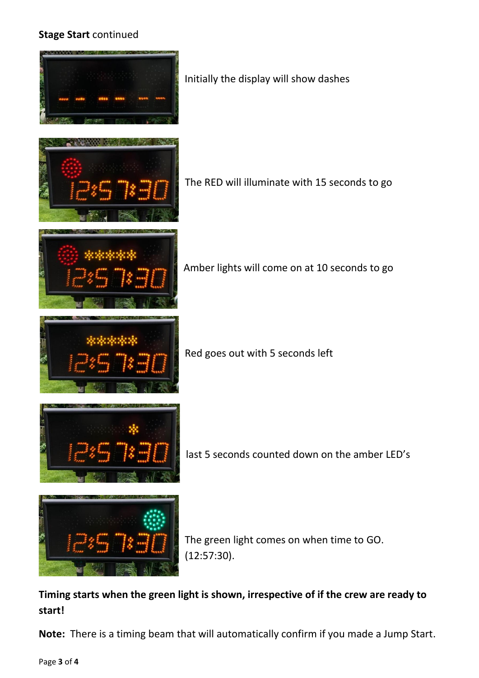#### **Stage Start** continued

|              | Initially the display will show dashes                   |
|--------------|----------------------------------------------------------|
|              | The RED will illuminate with 15 seconds to go            |
|              | Amber lights will come on at 10 seconds to go            |
|              | Red goes out with 5 seconds left                         |
|              | last 5 seconds counted down on the amber LED's           |
| <b>ANGEL</b> | The green light comes on when time to GO.<br>(12:57:30). |

## **Timing starts when the green light is shown, irrespective of if the crew are ready to start!**

**Note:** There is a timing beam that will automatically confirm if you made a Jump Start.